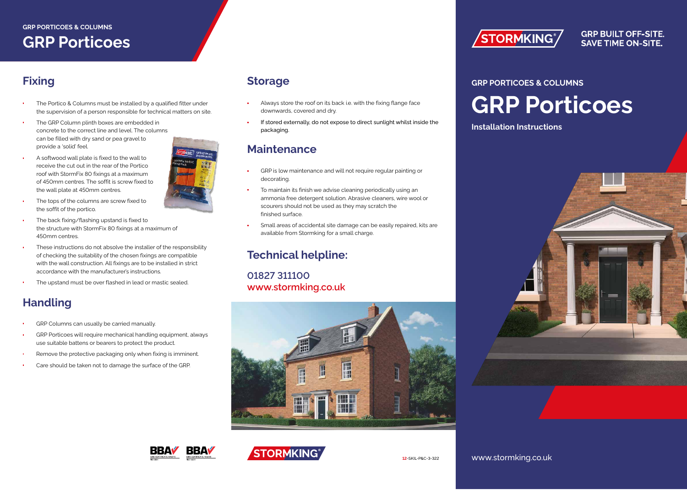### **GRP PORTICOES & COLUMNS GRP Porticoes**

# **Fixing**

- The Portico & Columns must be installed by a qualified fitter under the supervision of a person responsible for technical matters on site.
- The GRP Column plinth boxes are embedded in concrete to the correct line and level. The columns can be filled with dry sand or pea gravel to provide a 'solid' feel.
- A softwood wall plate is fixed to the wall to receive the cut out in the rear of the Portico roof with StormFix 80 fixings at a maximum of 450mm centres. The soffit is screw fixed to the wall plate at 450mm centres.
- The tops of the columns are screw fixed to the soffit of the portico.
- The back fixing/flashing upstand is fixed to the structure with StormFix 80 fixings at a maximum of 450mm centres.
- These instructions do not absolve the installer of the responsibility of checking the suitability of the chosen fixings are compatible with the wall construction. All fixings are to be installed in strict accordance with the manufacturer's instructions.
- The upstand must be over flashed in lead or mastic sealed.

# **Handling**

- GRP Columns can usually be carried manually.
- GRP Porticoes will require mechanical handling equipment, always use suitable battens or bearers to protect the product.
- Remove the protective packaging only when fixing is imminent.
- Care should be taken not to damage the surface of the GRP.

#### **Storage**

- Always store the roof on its back i.e. with the fixing flange face downwards, covered and dry.
- If stored externally, do not expose to direct sunlight whilst inside the packaging.

#### **Maintenance**

- GRP is low maintenance and will not require regular painting or decorating.
- To maintain its finish we advise cleaning periodically using an ammonia free detergent solution. Abrasive cleaners, wire wool or scourers should not be used as they may scratch the finished surface.
- Small areas of accidental site damage can be easily repaired, kits are available from Stormking for a small charge.

# **Technical helpline:**

**01827 311100 www.stormking.co.uk**







**STORMKING** 

#### **GRP BUILT OFF-SITE. SAVE TIME ON-SITE.**

# **GRP PORTICOES & COLUMNS GRP Porticoes**

**Installation Instructions**



www.stormking.co.uk

**12**-SKIL-P&C-3-322